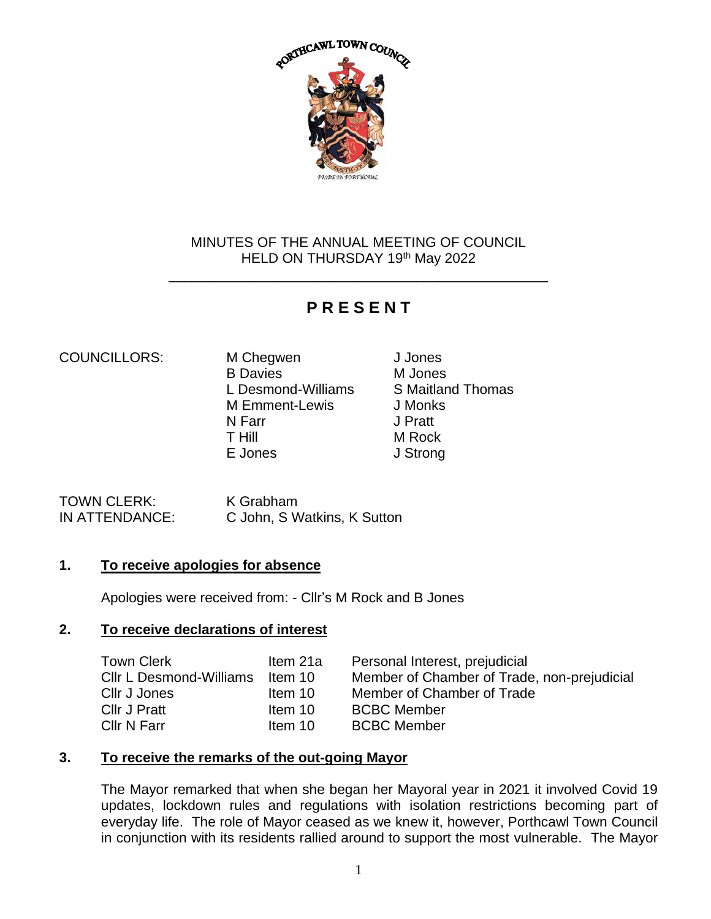

# MINUTES OF THE ANNUAL MEETING OF COUNCIL HELD ON THURSDAY 19th May 2022

\_\_\_\_\_\_\_\_\_\_\_\_\_\_\_\_\_\_\_\_\_\_\_\_\_\_\_\_\_\_\_\_\_\_\_\_\_\_\_\_\_\_\_\_\_\_\_\_\_

# **P R E S E N T**

# COUNCILLORS: M Chegwen J Jones

B Davies M Jones L Desmond-Williams S Maitland Thomas M Emment-Lewis J Monks N Farr J Pratt T Hill M Rock E Jones J Strong

TOWN CLERK: K Grabham

IN ATTENDANCE: C John, S Watkins, K Sutton

# **1. To receive apologies for absence**

Apologies were received from: - Cllr's M Rock and B Jones

# **2. To receive declarations of interest**

| <b>Town Clerk</b>       | Item 21a |
|-------------------------|----------|
| Cllr L Desmond-Williams | Item 10  |
| Cllr J Jones            | Item 10  |
| Cllr J Pratt            | Item 10  |
| Cllr N Farr             | Item 10  |

- Personal Interest, prejudicial
- Member of Chamber of Trade, non-prejudicial

Member of Chamber of Trade

- **BCBC Member**
- **BCBC Member**

# **3. To receive the remarks of the out-going Mayor**

The Mayor remarked that when she began her Mayoral year in 2021 it involved Covid 19 updates, lockdown rules and regulations with isolation restrictions becoming part of everyday life. The role of Mayor ceased as we knew it, however, Porthcawl Town Council in conjunction with its residents rallied around to support the most vulnerable. The Mayor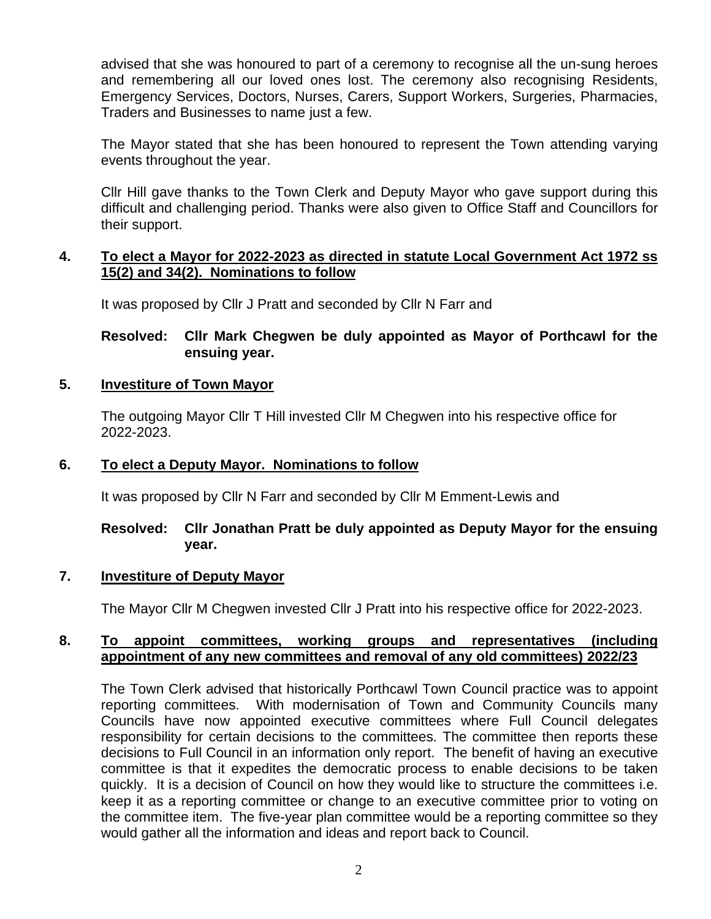advised that she was honoured to part of a ceremony to recognise all the un-sung heroes and remembering all our loved ones lost. The ceremony also recognising Residents, Emergency Services, Doctors, Nurses, Carers, Support Workers, Surgeries, Pharmacies, Traders and Businesses to name just a few.

The Mayor stated that she has been honoured to represent the Town attending varying events throughout the year.

Cllr Hill gave thanks to the Town Clerk and Deputy Mayor who gave support during this difficult and challenging period. Thanks were also given to Office Staff and Councillors for their support.

# **4. To elect a Mayor for 2022-2023 as directed in statute Local Government Act 1972 ss 15(2) and 34(2). Nominations to follow**

It was proposed by Cllr J Pratt and seconded by Cllr N Farr and

# **Resolved: Cllr Mark Chegwen be duly appointed as Mayor of Porthcawl for the ensuing year.**

# **5. Investiture of Town Mayor**

The outgoing Mayor Cllr T Hill invested Cllr M Chegwen into his respective office for 2022-2023.

# **6. To elect a Deputy Mayor. Nominations to follow**

It was proposed by Cllr N Farr and seconded by Cllr M Emment-Lewis and

# **Resolved: Cllr Jonathan Pratt be duly appointed as Deputy Mayor for the ensuing year.**

# **7. Investiture of Deputy Mayor**

The Mayor Cllr M Chegwen invested Cllr J Pratt into his respective office for 2022-2023.

# **8. To appoint committees, working groups and representatives (including appointment of any new committees and removal of any old committees) 2022/23**

The Town Clerk advised that historically Porthcawl Town Council practice was to appoint reporting committees. With modernisation of Town and Community Councils many Councils have now appointed executive committees where Full Council delegates responsibility for certain decisions to the committees. The committee then reports these decisions to Full Council in an information only report. The benefit of having an executive committee is that it expedites the democratic process to enable decisions to be taken quickly. It is a decision of Council on how they would like to structure the committees i.e. keep it as a reporting committee or change to an executive committee prior to voting on the committee item. The five-year plan committee would be a reporting committee so they would gather all the information and ideas and report back to Council.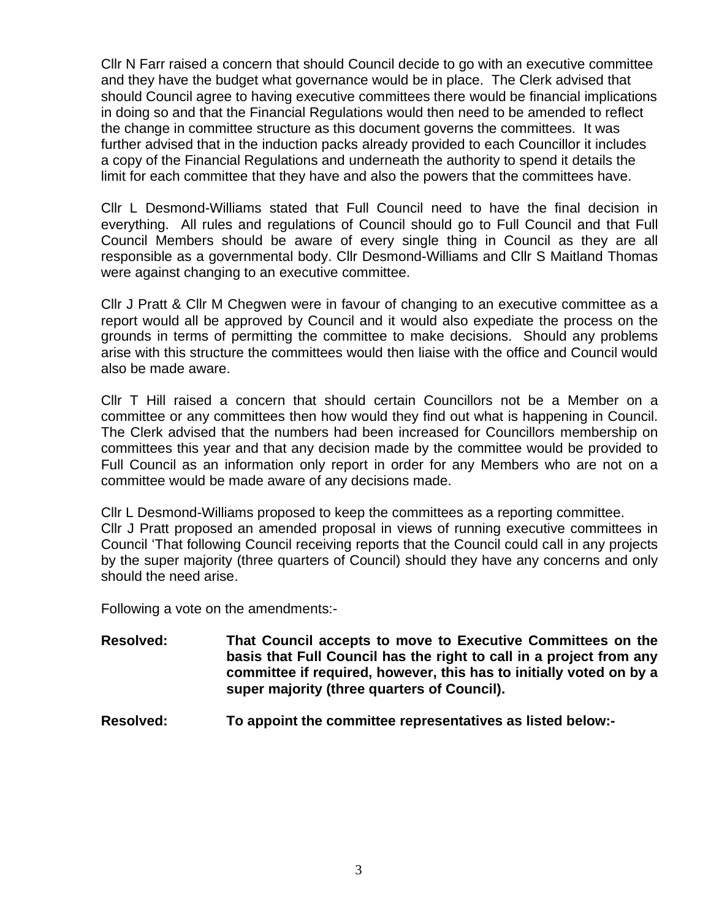Cllr N Farr raised a concern that should Council decide to go with an executive committee and they have the budget what governance would be in place. The Clerk advised that should Council agree to having executive committees there would be financial implications in doing so and that the Financial Regulations would then need to be amended to reflect the change in committee structure as this document governs the committees. It was further advised that in the induction packs already provided to each Councillor it includes a copy of the Financial Regulations and underneath the authority to spend it details the limit for each committee that they have and also the powers that the committees have.

Cllr L Desmond-Williams stated that Full Council need to have the final decision in everything. All rules and regulations of Council should go to Full Council and that Full Council Members should be aware of every single thing in Council as they are all responsible as a governmental body. Cllr Desmond-Williams and Cllr S Maitland Thomas were against changing to an executive committee.

Cllr J Pratt & Cllr M Chegwen were in favour of changing to an executive committee as a report would all be approved by Council and it would also expediate the process on the grounds in terms of permitting the committee to make decisions. Should any problems arise with this structure the committees would then liaise with the office and Council would also be made aware.

Cllr T Hill raised a concern that should certain Councillors not be a Member on a committee or any committees then how would they find out what is happening in Council. The Clerk advised that the numbers had been increased for Councillors membership on committees this year and that any decision made by the committee would be provided to Full Council as an information only report in order for any Members who are not on a committee would be made aware of any decisions made.

Cllr L Desmond-Williams proposed to keep the committees as a reporting committee. Cllr J Pratt proposed an amended proposal in views of running executive committees in Council 'That following Council receiving reports that the Council could call in any projects by the super majority (three quarters of Council) should they have any concerns and only should the need arise.

Following a vote on the amendments:-

- **Resolved: That Council accepts to move to Executive Committees on the basis that Full Council has the right to call in a project from any committee if required, however, this has to initially voted on by a super majority (three quarters of Council).**
- **Resolved: To appoint the committee representatives as listed below:-**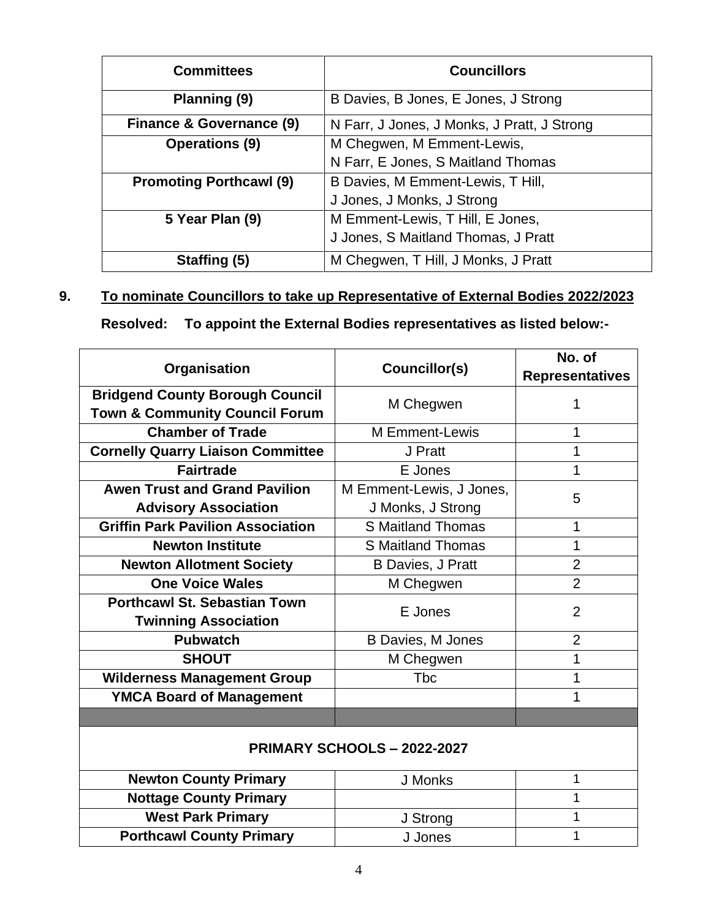| <b>Committees</b>              | <b>Councillors</b>                          |
|--------------------------------|---------------------------------------------|
| Planning (9)                   | B Davies, B Jones, E Jones, J Strong        |
| Finance & Governance (9)       | N Farr, J Jones, J Monks, J Pratt, J Strong |
| <b>Operations (9)</b>          | M Chegwen, M Emment-Lewis,                  |
|                                | N Farr, E Jones, S Maitland Thomas          |
| <b>Promoting Porthcawl (9)</b> | B Davies, M Emment-Lewis, T Hill,           |
|                                | J Jones, J Monks, J Strong                  |
| 5 Year Plan (9)                | M Emment-Lewis, T Hill, E Jones,            |
|                                | J Jones, S Maitland Thomas, J Pratt         |
| Staffing (5)                   | M Chegwen, T Hill, J Monks, J Pratt         |

# **9. To nominate Councillors to take up Representative of External Bodies 2022/2023**

**Resolved: To appoint the External Bodies representatives as listed below:-**

|                                           |                               | No. of                 |  |
|-------------------------------------------|-------------------------------|------------------------|--|
| Organisation                              | Councillor(s)                 | <b>Representatives</b> |  |
| <b>Bridgend County Borough Council</b>    |                               | 1                      |  |
| <b>Town &amp; Community Council Forum</b> | M Chegwen                     |                        |  |
| <b>Chamber of Trade</b>                   | <b>M</b> Emment-Lewis         | 1                      |  |
| <b>Cornelly Quarry Liaison Committee</b>  | J Pratt                       | 1                      |  |
| <b>Fairtrade</b>                          | E Jones                       | 1                      |  |
| <b>Awen Trust and Grand Pavilion</b>      | M Emment-Lewis, J Jones,<br>5 |                        |  |
| <b>Advisory Association</b>               | J Monks, J Strong             |                        |  |
| <b>Griffin Park Pavilion Association</b>  | S Maitland Thomas             | 1                      |  |
| <b>Newton Institute</b>                   | S Maitland Thomas             | 1                      |  |
| <b>Newton Allotment Society</b>           | <b>B Davies, J Pratt</b>      | $\overline{2}$         |  |
| <b>One Voice Wales</b>                    | M Chegwen                     | $\overline{2}$         |  |
| <b>Porthcawl St. Sebastian Town</b>       | E Jones                       | $\overline{2}$         |  |
| <b>Twinning Association</b>               |                               |                        |  |
| <b>Pubwatch</b>                           | <b>B Davies, M Jones</b>      | $\overline{2}$         |  |
| <b>SHOUT</b>                              | M Chegwen                     | 1                      |  |
| <b>Wilderness Management Group</b>        | <b>T</b> bc                   | 1                      |  |
| <b>YMCA Board of Management</b>           |                               | 1                      |  |
|                                           |                               |                        |  |
|                                           |                               |                        |  |
| PRIMARY SCHOOLS - 2022-2027               |                               |                        |  |
| <b>Newton County Primary</b>              | J Monks                       | 1                      |  |
| <b>Nottage County Primary</b>             |                               | 1                      |  |
| <b>West Park Primary</b>                  | J Strong                      | 1                      |  |
| <b>Porthcawl County Primary</b>           | J Jones                       | 1                      |  |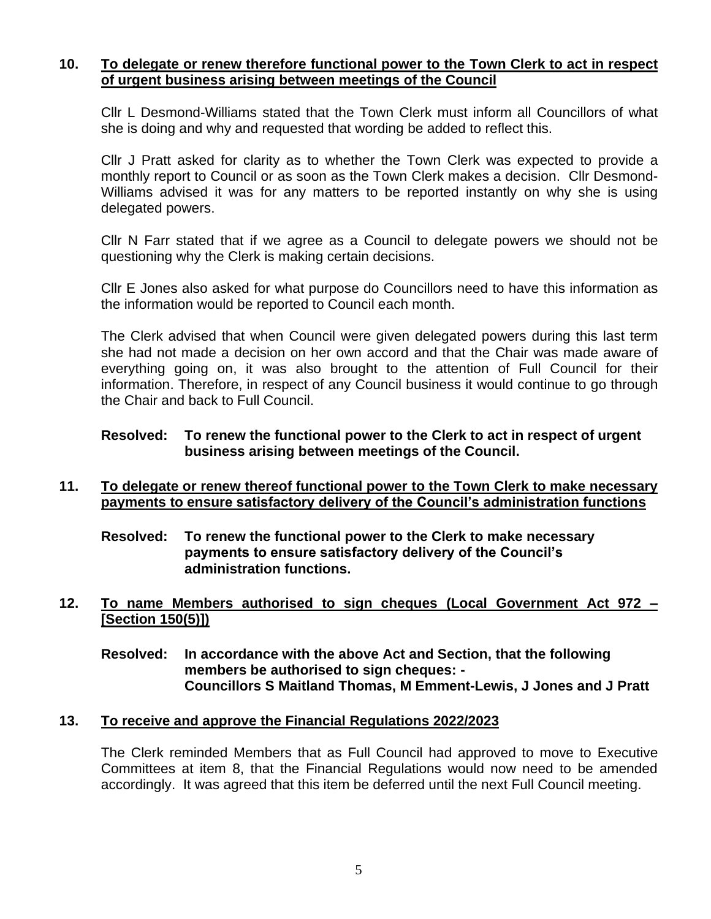# **10. To delegate or renew therefore functional power to the Town Clerk to act in respect of urgent business arising between meetings of the Council**

Cllr L Desmond-Williams stated that the Town Clerk must inform all Councillors of what she is doing and why and requested that wording be added to reflect this.

Cllr J Pratt asked for clarity as to whether the Town Clerk was expected to provide a monthly report to Council or as soon as the Town Clerk makes a decision. Cllr Desmond-Williams advised it was for any matters to be reported instantly on why she is using delegated powers.

Cllr N Farr stated that if we agree as a Council to delegate powers we should not be questioning why the Clerk is making certain decisions.

Cllr E Jones also asked for what purpose do Councillors need to have this information as the information would be reported to Council each month.

The Clerk advised that when Council were given delegated powers during this last term she had not made a decision on her own accord and that the Chair was made aware of everything going on, it was also brought to the attention of Full Council for their information. Therefore, in respect of any Council business it would continue to go through the Chair and back to Full Council.

# **Resolved: To renew the functional power to the Clerk to act in respect of urgent business arising between meetings of the Council.**

#### **11. To delegate or renew thereof functional power to the Town Clerk to make necessary payments to ensure satisfactory delivery of the Council's administration functions**

**Resolved: To renew the functional power to the Clerk to make necessary payments to ensure satisfactory delivery of the Council's administration functions.**

**12. To name Members authorised to sign cheques (Local Government Act 972 – [Section 150(5)])**

**Resolved: In accordance with the above Act and Section, that the following members be authorised to sign cheques: - Councillors S Maitland Thomas, M Emment-Lewis, J Jones and J Pratt**

# **13. To receive and approve the Financial Regulations 2022/2023**

The Clerk reminded Members that as Full Council had approved to move to Executive Committees at item 8, that the Financial Regulations would now need to be amended accordingly. It was agreed that this item be deferred until the next Full Council meeting.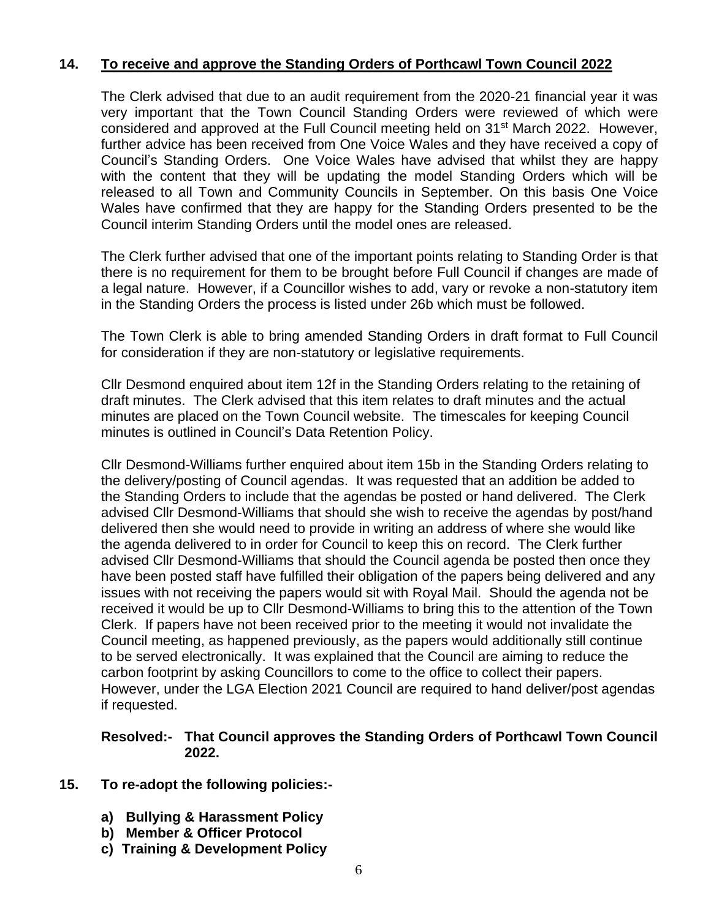# **14. To receive and approve the Standing Orders of Porthcawl Town Council 2022**

The Clerk advised that due to an audit requirement from the 2020-21 financial year it was very important that the Town Council Standing Orders were reviewed of which were considered and approved at the Full Council meeting held on 31<sup>st</sup> March 2022. However, further advice has been received from One Voice Wales and they have received a copy of Council's Standing Orders. One Voice Wales have advised that whilst they are happy with the content that they will be updating the model Standing Orders which will be released to all Town and Community Councils in September. On this basis One Voice Wales have confirmed that they are happy for the Standing Orders presented to be the Council interim Standing Orders until the model ones are released.

The Clerk further advised that one of the important points relating to Standing Order is that there is no requirement for them to be brought before Full Council if changes are made of a legal nature. However, if a Councillor wishes to add, vary or revoke a non-statutory item in the Standing Orders the process is listed under 26b which must be followed.

The Town Clerk is able to bring amended Standing Orders in draft format to Full Council for consideration if they are non-statutory or legislative requirements.

Cllr Desmond enquired about item 12f in the Standing Orders relating to the retaining of draft minutes. The Clerk advised that this item relates to draft minutes and the actual minutes are placed on the Town Council website. The timescales for keeping Council minutes is outlined in Council's Data Retention Policy.

Cllr Desmond-Williams further enquired about item 15b in the Standing Orders relating to the delivery/posting of Council agendas. It was requested that an addition be added to the Standing Orders to include that the agendas be posted or hand delivered. The Clerk advised Cllr Desmond-Williams that should she wish to receive the agendas by post/hand delivered then she would need to provide in writing an address of where she would like the agenda delivered to in order for Council to keep this on record. The Clerk further advised Cllr Desmond-Williams that should the Council agenda be posted then once they have been posted staff have fulfilled their obligation of the papers being delivered and any issues with not receiving the papers would sit with Royal Mail. Should the agenda not be received it would be up to Cllr Desmond-Williams to bring this to the attention of the Town Clerk. If papers have not been received prior to the meeting it would not invalidate the Council meeting, as happened previously, as the papers would additionally still continue to be served electronically. It was explained that the Council are aiming to reduce the carbon footprint by asking Councillors to come to the office to collect their papers. However, under the LGA Election 2021 Council are required to hand deliver/post agendas if requested.

# **Resolved:- That Council approves the Standing Orders of Porthcawl Town Council 2022.**

- **15. To re-adopt the following policies:**
	- **a) Bullying & Harassment Policy**
	- **b) Member & Officer Protocol**
	- **c) Training & Development Policy**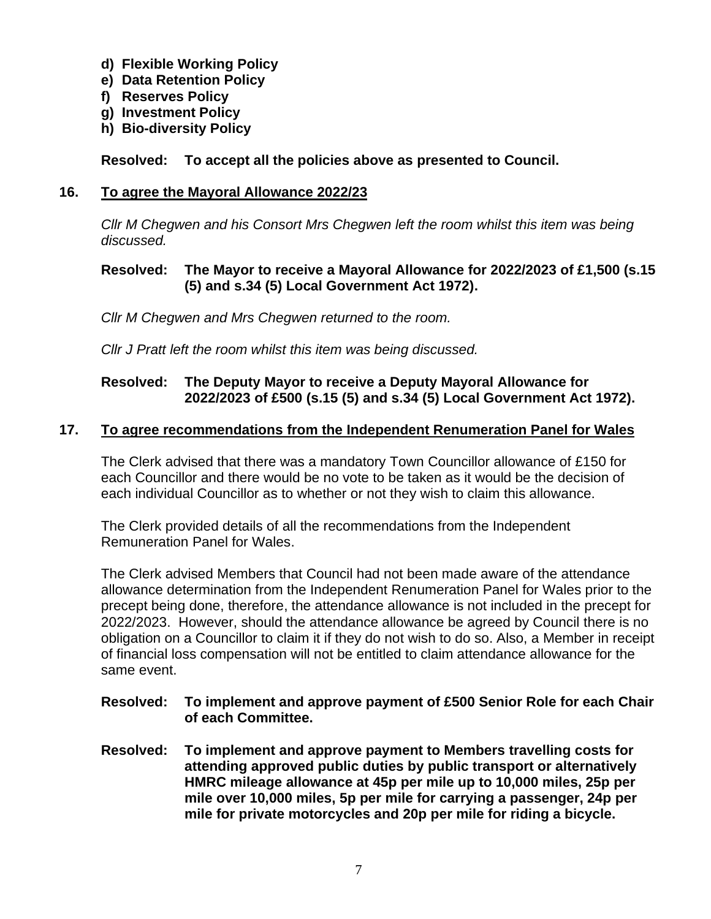- **d) Flexible Working Policy**
- **e) Data Retention Policy**
- **f) Reserves Policy**
- **g) Investment Policy**
- **h) Bio-diversity Policy**

**Resolved: To accept all the policies above as presented to Council.**

# **16. To agree the Mayoral Allowance 2022/23**

*Cllr M Chegwen and his Consort Mrs Chegwen left the room whilst this item was being discussed.*

# **Resolved: The Mayor to receive a Mayoral Allowance for 2022/2023 of £1,500 (s.15 (5) and s.34 (5) Local Government Act 1972).**

*Cllr M Chegwen and Mrs Chegwen returned to the room.*

*Cllr J Pratt left the room whilst this item was being discussed.*

# **Resolved: The Deputy Mayor to receive a Deputy Mayoral Allowance for 2022/2023 of £500 (s.15 (5) and s.34 (5) Local Government Act 1972).**

# **17. To agree recommendations from the Independent Renumeration Panel for Wales**

The Clerk advised that there was a mandatory Town Councillor allowance of £150 for each Councillor and there would be no vote to be taken as it would be the decision of each individual Councillor as to whether or not they wish to claim this allowance.

The Clerk provided details of all the recommendations from the Independent Remuneration Panel for Wales.

The Clerk advised Members that Council had not been made aware of the attendance allowance determination from the Independent Renumeration Panel for Wales prior to the precept being done, therefore, the attendance allowance is not included in the precept for 2022/2023. However, should the attendance allowance be agreed by Council there is no obligation on a Councillor to claim it if they do not wish to do so. Also, a Member in receipt of financial loss compensation will not be entitled to claim attendance allowance for the same event.

# **Resolved: To implement and approve payment of £500 Senior Role for each Chair of each Committee.**

**Resolved: To implement and approve payment to Members travelling costs for attending approved public duties by public transport or alternatively HMRC mileage allowance at 45p per mile up to 10,000 miles, 25p per mile over 10,000 miles, 5p per mile for carrying a passenger, 24p per mile for private motorcycles and 20p per mile for riding a bicycle.**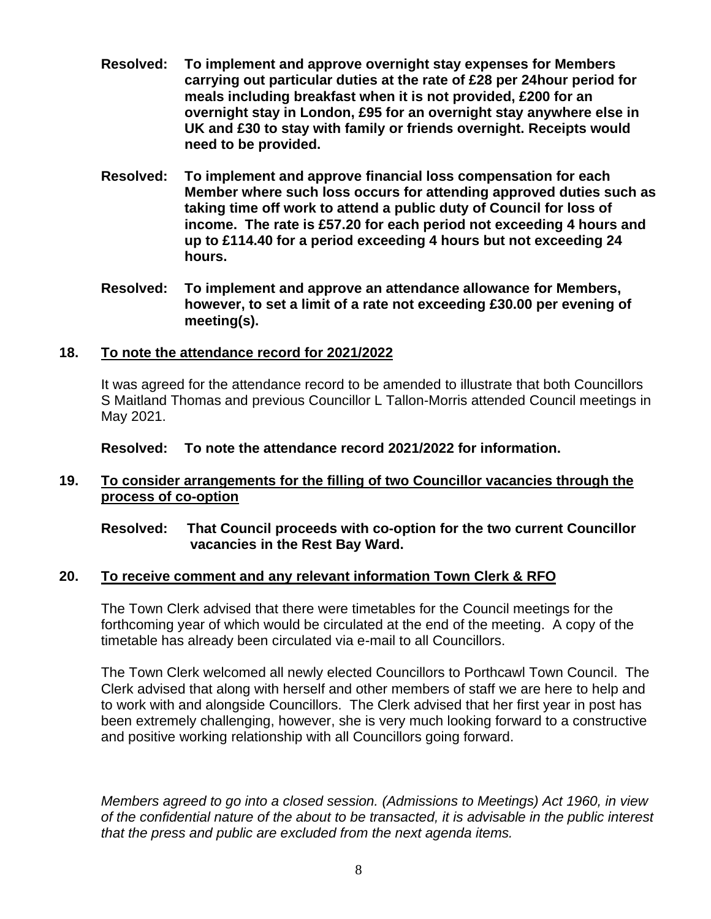- **Resolved: To implement and approve overnight stay expenses for Members carrying out particular duties at the rate of £28 per 24hour period for meals including breakfast when it is not provided, £200 for an overnight stay in London, £95 for an overnight stay anywhere else in UK and £30 to stay with family or friends overnight. Receipts would need to be provided.**
- **Resolved: To implement and approve financial loss compensation for each Member where such loss occurs for attending approved duties such as taking time off work to attend a public duty of Council for loss of income. The rate is £57.20 for each period not exceeding 4 hours and up to £114.40 for a period exceeding 4 hours but not exceeding 24 hours.**
- **Resolved: To implement and approve an attendance allowance for Members, however, to set a limit of a rate not exceeding £30.00 per evening of meeting(s).**

# **18. To note the attendance record for 2021/2022**

It was agreed for the attendance record to be amended to illustrate that both Councillors S Maitland Thomas and previous Councillor L Tallon-Morris attended Council meetings in May 2021.

**Resolved: To note the attendance record 2021/2022 for information.**

# **19. To consider arrangements for the filling of two Councillor vacancies through the process of co-option**

# **Resolved: That Council proceeds with co-option for the two current Councillor vacancies in the Rest Bay Ward.**

# **20. To receive comment and any relevant information Town Clerk & RFO**

The Town Clerk advised that there were timetables for the Council meetings for the forthcoming year of which would be circulated at the end of the meeting. A copy of the timetable has already been circulated via e-mail to all Councillors.

The Town Clerk welcomed all newly elected Councillors to Porthcawl Town Council. The Clerk advised that along with herself and other members of staff we are here to help and to work with and alongside Councillors. The Clerk advised that her first year in post has been extremely challenging, however, she is very much looking forward to a constructive and positive working relationship with all Councillors going forward.

*Members agreed to go into a closed session. (Admissions to Meetings) Act 1960, in view of the confidential nature of the about to be transacted, it is advisable in the public interest that the press and public are excluded from the next agenda items.*